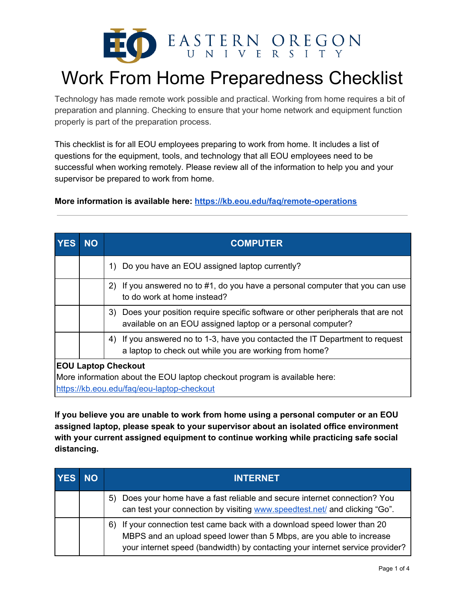

# Work From Home Preparedness Checklist

Technology has made remote work possible and practical. Working from home requires a bit of preparation and planning. Checking to ensure that your home network and equipment function properly is part of the preparation process.

This checklist is for all EOU employees preparing to work from home. It includes a list of questions for the equipment, tools, and technology that all EOU employees need to be successful when working remotely. Please review all of the information to help you and your supervisor be prepared to work from home.

**More information is available here: <https://kb.eou.edu/faq/remote-operations>**

| <b>YES</b>                                                                | <b>NO</b> | <b>COMPUTER</b>                                                                                                                                  |
|---------------------------------------------------------------------------|-----------|--------------------------------------------------------------------------------------------------------------------------------------------------|
|                                                                           |           | 1) Do you have an EOU assigned laptop currently?                                                                                                 |
|                                                                           |           | If you answered no to #1, do you have a personal computer that you can use<br><b>2</b> )<br>to do work at home instead?                          |
|                                                                           |           | 3) Does your position require specific software or other peripherals that are not<br>available on an EOU assigned laptop or a personal computer? |
|                                                                           |           | If you answered no to 1-3, have you contacted the IT Department to request<br>4)<br>a laptop to check out while you are working from home?       |
| <b>EOU Laptop Checkout</b>                                                |           |                                                                                                                                                  |
| More information about the EOU laptop checkout program is available here: |           |                                                                                                                                                  |
| https://kb.eou.edu/faq/eou-laptop-checkout                                |           |                                                                                                                                                  |

**If you believe you are unable to work from home using a personal computer or an EOU assigned laptop, please speak to your supervisor about an isolated office environment with your current assigned equipment to continue working while practicing safe social distancing.**

| <b>YES</b> | <b>NO</b> | <b>INTERNET</b>                                                                                                                                                                                                                   |
|------------|-----------|-----------------------------------------------------------------------------------------------------------------------------------------------------------------------------------------------------------------------------------|
|            |           | 5) Does your home have a fast reliable and secure internet connection? You<br>can test your connection by visiting www.speedtest.net/ and clicking "Go".                                                                          |
|            |           | 6) If your connection test came back with a download speed lower than 20<br>MBPS and an upload speed lower than 5 Mbps, are you able to increase<br>your internet speed (bandwidth) by contacting your internet service provider? |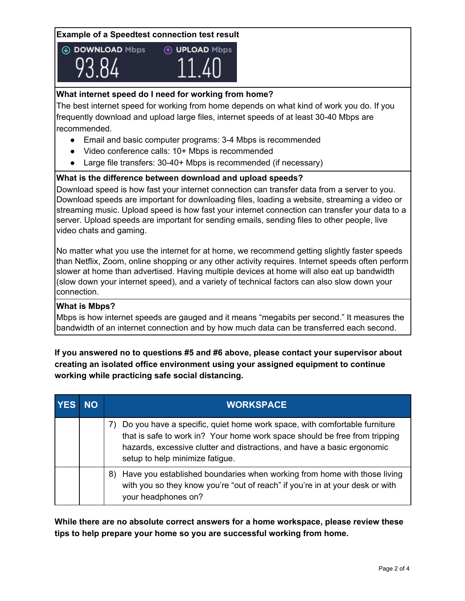#### **Example of a Speedtest connection test result**





## **What internet speed do I need for working from home?**

The best internet speed for working from home depends on what kind of work you do. If you frequently download and upload large files, internet speeds of at least 30-40 Mbps are recommended.

- Email and basic computer programs: 3-4 Mbps is recommended
- Video conference calls: 10+ Mbps is recommended
- Large file transfers: 30-40+ Mbps is recommended (if necessary)

#### **What is the difference between download and upload speeds?**

Download speed is how fast your internet connection can transfer data from a server to you. Download speeds are important for downloading files, loading a website, streaming a video or streaming music. Upload speed is how fast your internet connection can transfer your data to a server. Upload speeds are important for sending emails, sending files to other people, live video chats and gaming.

No matter what you use the internet for at home, we recommend getting slightly faster speeds than Netflix, Zoom, online shopping or any other activity requires. Internet speeds often perform slower at home than advertised. Having multiple devices at home will also eat up bandwidth (slow down your internet speed), and a variety of technical factors can also slow down your connection.

#### **What is Mbps?**

Mbps is how internet speeds are gauged and it means "megabits per second." It measures the bandwidth of an internet connection and by how much data can be transferred each second.

# **If you answered no to questions #5 and #6 above, please contact your supervisor about creating an isolated office environment using your assigned equipment to continue working while practicing safe social distancing.**

| <b>YES</b> | NO l | <b>WORKSPACE</b>                                                                                                                                                                                                                                                      |
|------------|------|-----------------------------------------------------------------------------------------------------------------------------------------------------------------------------------------------------------------------------------------------------------------------|
|            |      | Do you have a specific, quiet home work space, with comfortable furniture<br>that is safe to work in? Your home work space should be free from tripping<br>hazards, excessive clutter and distractions, and have a basic ergonomic<br>setup to help minimize fatigue. |
|            |      | Have you established boundaries when working from home with those living<br>8)<br>with you so they know you're "out of reach" if you're in at your desk or with<br>your headphones on?                                                                                |

**While there are no absolute correct answers for a home workspace, please review these tips to help prepare your home so you are successful working from home.**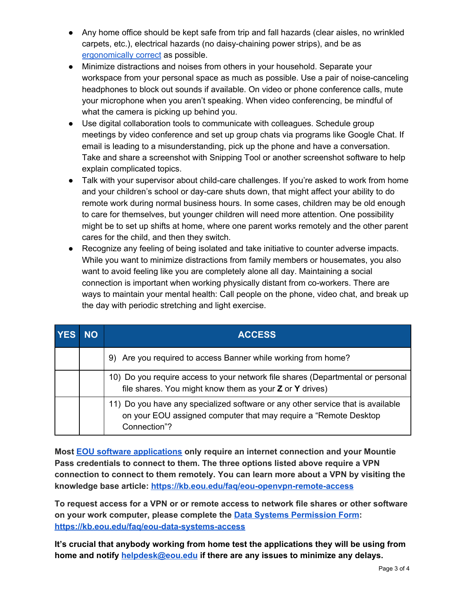- Any home office should be kept safe from trip and fall hazards (clear aisles, no wrinkled carpets, etc.), electrical hazards (no daisy-chaining power strips), and be as [ergonomically](https://www.ergonomics.com.au/office-ergonomics-checklist/) correct as possible.
- Minimize distractions and noises from others in your household. Separate your workspace from your personal space as much as possible. Use a pair of noise-canceling headphones to block out sounds if available. On video or phone conference calls, mute your microphone when you aren't speaking. When video conferencing, be mindful of what the camera is picking up behind you.
- Use digital collaboration tools to communicate with colleagues. Schedule group meetings by video conference and set up group chats via programs like Google Chat. If email is leading to a misunderstanding, pick up the phone and have a conversation. Take and share a screenshot with Snipping Tool or another screenshot software to help explain complicated topics.
- Talk with your supervisor about child-care challenges. If you're asked to work from home and your children's school or day-care shuts down, that might affect your ability to do remote work during normal business hours. In some cases, children may be old enough to care for themselves, but younger children will need more attention. One possibility might be to set up shifts at home, where one parent works remotely and the other parent cares for the child, and then they switch.
- Recognize any feeling of being isolated and take initiative to counter adverse impacts. While you want to minimize distractions from family members or housemates, you also want to avoid feeling like you are completely alone all day. Maintaining a social connection is important when working physically distant from co-workers. There are ways to maintain your mental health: Call people on the phone, video chat, and break up the day with periodic stretching and light exercise.

| <b>YES</b> | <b>NO</b> | <b>ACCESS</b>                                                                                                                                                        |
|------------|-----------|----------------------------------------------------------------------------------------------------------------------------------------------------------------------|
|            |           | 9) Are you required to access Banner while working from home?                                                                                                        |
|            |           | 10) Do you require access to your network file shares (Departmental or personal<br>file shares. You might know them as your Z or Y drives)                           |
|            |           | 11) Do you have any specialized software or any other service that is available<br>on your EOU assigned computer that may require a "Remote Desktop"<br>Connection"? |

**Most EOU software [applications](https://kb.eou.edu/faq/remote-operations#eou-applications) only require an internet connection and your Mountie Pass credentials to connect to them. The three options listed above require a VPN connection to connect to them remotely. You can learn more about a VPN by visiting the knowledge base article: <https://kb.eou.edu/faq/eou-openvpn-remote-access>**

**To request access for a VPN or or remote access to network file shares or other software on your work computer, please complete the Data Systems [Permission](https://ssb-prod.ec.eou.edu/ssomanager/saml/login?relayState=/c/auth/SSB?pkg=zeoupermissions.P_eouPermissions) Form: <https://kb.eou.edu/faq/eou-data-systems-access>**

**It's crucial that anybody working from home test the applications they will be using from home and notify [helpdesk@eou.edu](mailto:helpdesk@eou.edu) if there are any issues to minimize any delays.**